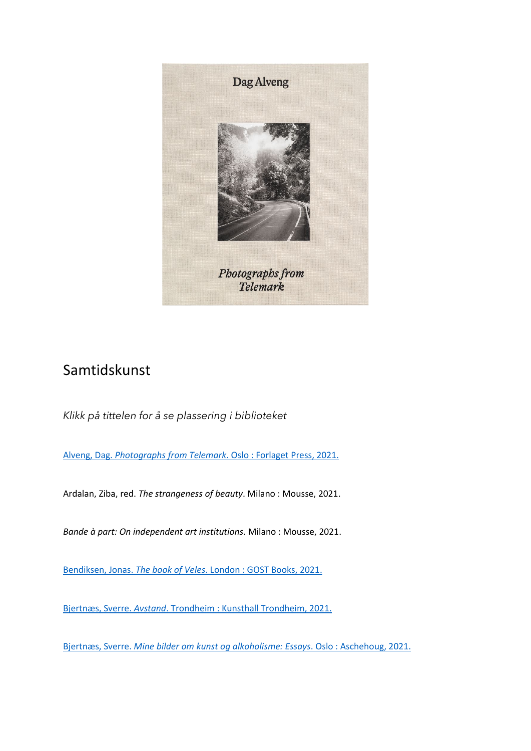

## Samtidskunst

*Klikk på tittelen for å se plassering i biblioteket* 

Alveng, Dag. *Photographs from Telemark*[. Oslo : Forlaget Press, 2021.](https://bibsys-almaprimo.hosted.exlibrisgroup.com/permalink/f/1n8chvd/BIBSYS_ILS71638494620002201)

Ardalan, Ziba, red. *The strangeness of beauty*. Milano : Mousse, 2021.

*Bande à part: On independent art institutions*. Milano : Mousse, 2021.

Bendiksen, Jonas. *The book of Veles*[. London : GOST Books, 2021.](https://bibsys-almaprimo.hosted.exlibrisgroup.com/permalink/f/1n8chvd/BIBSYS_ILS71633666610002201)

Bjertnæs, Sverre. *Avstand*[. Trondheim : Kunsthall Trondheim, 2021.](https://bibsys-almaprimo.hosted.exlibrisgroup.com/permalink/f/1n8chvd/BIBSYS_ILS71632613760002201)

Bjertnæs, Sverre. *Mine bilder [om kunst og alkoholisme: Essays](https://bibsys-almaprimo.hosted.exlibrisgroup.com/permalink/f/17b6085/BIBSYS_ILS71605198850002201)*. Oslo : Aschehoug, 2021.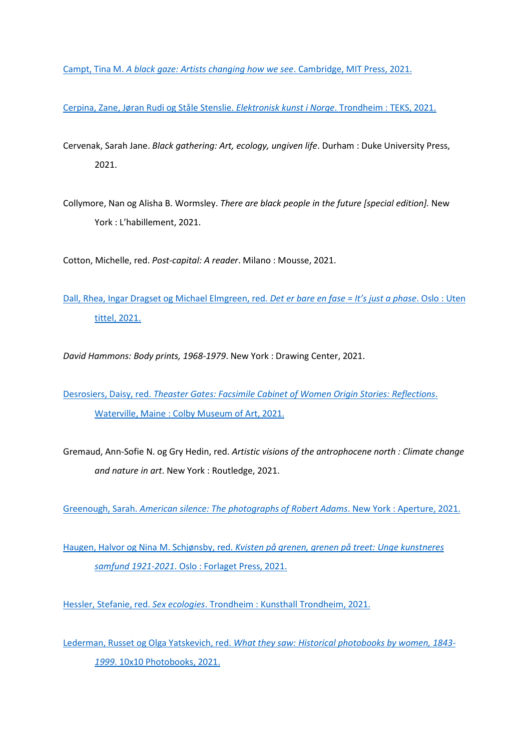Campt, Tina M. *[A black gaze: Artists changing how we see](https://bibsys-almaprimo.hosted.exlibrisgroup.com/permalink/f/17b6085/BIBSYS_ILS71640182010002201)*. Cambridge, MIT Press, 2021.

[Cerpina, Zane, Jøran Rudi og Ståle Stenslie.](https://bibsys-almaprimo.hosted.exlibrisgroup.com/permalink/f/1n8chvd/BIBSYS_ILS71639342420002201) *Elektronisk kunst i Norge*. Trondheim : TEKS, 2021.

- Cervenak, Sarah Jane. *Black gathering: Art, ecology, ungiven life*. Durham : Duke University Press, 2021.
- Collymore, Nan og Alisha B. Wormsley. *There are black people in the future [special edition].* New York : L'habillement, 2021.

Cotton, Michelle, red. *Post-capital: A reader*. Milano : Mousse, 2021.

[Dall, Rhea, Ingar Dragset og Michael Elmgreen, red.](https://bibsys-almaprimo.hosted.exlibrisgroup.com/permalink/f/1n8chvd/BIBSYS_ILS71638771310002201) *Det er bare en fase = It's just a phase*. Oslo : Uten [tittel, 2021.](https://bibsys-almaprimo.hosted.exlibrisgroup.com/permalink/f/1n8chvd/BIBSYS_ILS71638771310002201)

*David Hammons: Body prints, 1968-1979*. New York : Drawing Center, 2021.

Desrosiers, Daisy, red. *[Theaster Gates: Facsimile Cabinet of Women](https://bibsys-almaprimo.hosted.exlibrisgroup.com/permalink/f/1n8chvd/BIBSYS_ILS71640631930002201) Origin Stories: Reflections*. [Waterville, Maine : Colby Museum of Art, 2021.](https://bibsys-almaprimo.hosted.exlibrisgroup.com/permalink/f/1n8chvd/BIBSYS_ILS71640631930002201)

Gremaud, Ann-Sofie N. og Gry Hedin, red. *Artistic visions of the antrophocene north : Climate change and nature in art*. New York : Routledge, 2021.

Greenough, Sarah. *[American silence: The photographs of Robert Adams](https://bibsys-almaprimo.hosted.exlibrisgroup.com/permalink/f/1n8chvd/BIBSYS_ILS71642022610002201)*. New York : Aperture, 2021.

Haugen, Halvor og Nina M. Schjønsby, red. *[Kvisten på grenen, grenen på treet: Unge kunstneres](https://bibsys-almaprimo.hosted.exlibrisgroup.com/permalink/f/17b6085/BIBSYS_ILS71638458830002201)  samfund 1921-2021*. Oslo : [Forlaget Press, 2021.](https://bibsys-almaprimo.hosted.exlibrisgroup.com/permalink/f/17b6085/BIBSYS_ILS71638458830002201)

Hessler, Stefanie, red. *Sex ecologies*[. Trondheim : Kunsthall Trondheim, 2021.](https://bibsys-almaprimo.hosted.exlibrisgroup.com/permalink/f/1n8chvd/BIBSYS_ILS71639302890002201)

Lederman, Russet og Olga Yatskevich, red. *[What they saw: Historical photobooks by women, 1843-](https://bibsys-almaprimo.hosted.exlibrisgroup.com/permalink/f/1n8chvd/BIBSYS_ILS71642012380002201) 1999*[. 10x10 Photobooks, 2021.](https://bibsys-almaprimo.hosted.exlibrisgroup.com/permalink/f/1n8chvd/BIBSYS_ILS71642012380002201)